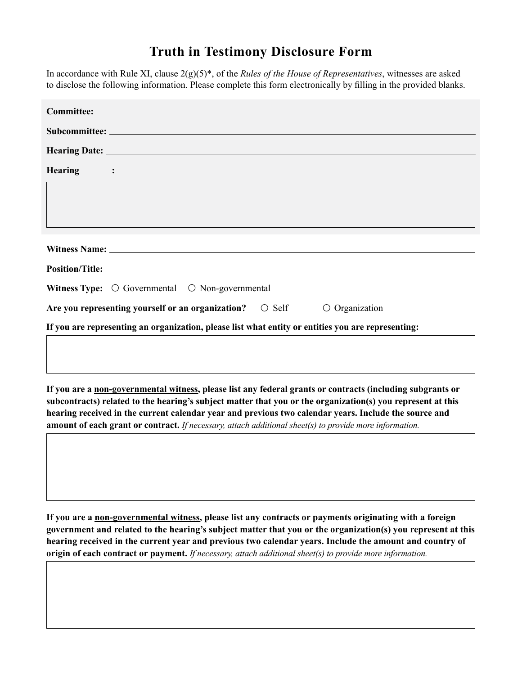## **Truth in Testimony Disclosure Form**

In accordance with Rule XI, clause  $2(g)(5)^*$ , of the *Rules of the House of Representatives*, witnesses are asked to disclose the following information. Please complete this form electronically by filling in the provided blanks.

| <b>Committee: House Administration</b>                                                             |  |
|----------------------------------------------------------------------------------------------------|--|
|                                                                                                    |  |
| <b>Hearing Date: 1/9/2020</b>                                                                      |  |
| Hearing Subject $\left  \mathbf{v} \right $                                                        |  |
| 2020 Election Security-Perspectives from Voting System Vendors and Experts                         |  |
| Witness Name: Matt Blaze                                                                           |  |
| Position/Title: McDevitt Professor of Computer Science and Law, Georgetown University              |  |
| Witness Type: $\odot$ Governmental $\odot$ Non-governmental                                        |  |
| Are you representing yourself or an organization?  Self<br><b>O</b> Organization                   |  |
| If you are representing an organization, please list what entity or entities you are representing: |  |
| N/A                                                                                                |  |

**If you are a non-governmental witness, please list any federal grants or contracts (including subgrants or subcontracts) related to the hearing's subject matter that you or the organization(s) you represent at this hearing received in the current calendar year and previous two calendar years. Include the source and amount of each grant or contract.** *If necessary, attach additional sheet(s) to provide more information.*

None

**If you are a non-governmental witness, please list any contracts or payments originating with a foreign government and related to the hearing's subject matter that you or the organization(s) you represent at this hearing received in the current year and previous two calendar years. Include the amount and country of origin of each contract or payment.** *If necessary, attach additional sheet(s) to provide more information.*

None